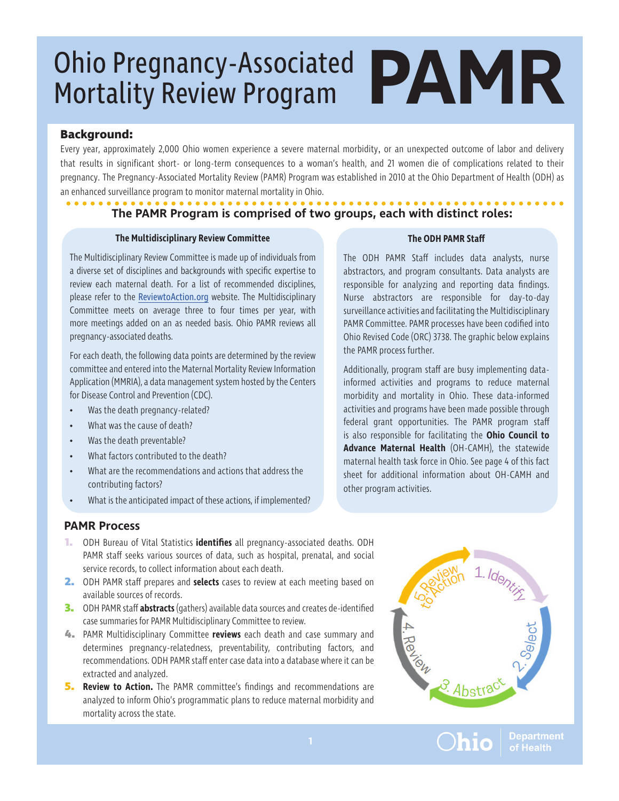### **Background:**

Every year, approximately 2,000 Ohio women experience a severe maternal morbidity, or an unexpected outcome of labor and delivery that results in significant short- or long-term consequences to a woman's health, and 21 women die of complications related to their pregnancy. The Pregnancy-Associated Mortality Review (PAMR) Program was established in 2010 at the Ohio Department of Health (ODH) as an enhanced surveillance program to monitor maternal mortality in Ohio.

#### **The PAMR Program is comprised of two groups, each with distinct roles:**

#### **The Multidisciplinary Review Committee**

The Multidisciplinary Review Committee is made up of individuals from a diverse set of disciplines and backgrounds with specific expertise to review each maternal death. For a list of recommended disciplines, please refer to the [ReviewtoAction.org](https://reviewtoaction.org/) website. The Multidisciplinary Committee meets on average three to four times per year, with more meetings added on an as needed basis. Ohio PAMR reviews all pregnancy-associated deaths.

For each death, the following data points are determined by the review committee and entered into the Maternal Mortality Review Information Application (MMRIA), a data management system hosted by the Centers for Disease Control and Prevention (CDC).

- Was the death pregnancy-related?
- What was the cause of death?
- Was the death preventable?
- What factors contributed to the death?
- What are the recommendations and actions that address the contributing factors?
- What is the anticipated impact of these actions, if implemented?

#### **The ODH PAMR Staff**

The ODH PAMR Staff includes data analysts, nurse abstractors, and program consultants. Data analysts are responsible for analyzing and reporting data findings. Nurse abstractors are responsible for day-to-day surveillance activities and facilitating the Multidisciplinary PAMR Committee. PAMR processes have been codified into Ohio Revised Code (ORC) 3738. The graphic below explains the PAMR process further.

Additionally, program staff are busy implementing datainformed activities and programs to reduce maternal morbidity and mortality in Ohio. These data-informed activities and programs have been made possible through federal grant opportunities. The PAMR program staff is also responsible for facilitating the **Ohio Council to Advance Maternal Health** (OH-CAMH), the statewide maternal health task force in Ohio. See page 4 of this fact sheet for additional information about OH-CAMH and other program activities.

### **PAMR Process**

- **1.** ODH Bureau of Vital Statistics **identifies** all pregnancy-associated deaths. ODH PAMR staff seeks various sources of data, such as hospital, prenatal, and social service records, to collect information about each death.
- **2.** ODH PAMR staff prepares and **selects** cases to review at each meeting based on available sources of records.
- **3.** ODH PAMR staff **abstracts** (gathers) available data sources and creates de-identified case summaries for PAMR Multidisciplinary Committee to review.
- **4.** PAMR Multidisciplinary Committee **reviews** each death and case summary and determines pregnancy-relatedness, preventability, contributing factors, and recommendations. ODH PAMR staff enter case data into a database where it can be extracted and analyzed.
- **5. Review to Action.** The PAMR committee's findings and recommendations are analyzed to inform Ohio's programmatic plans to reduce maternal morbidity and mortality across the state.



**)hio** 

Departmen<mark>t</mark><br>of Health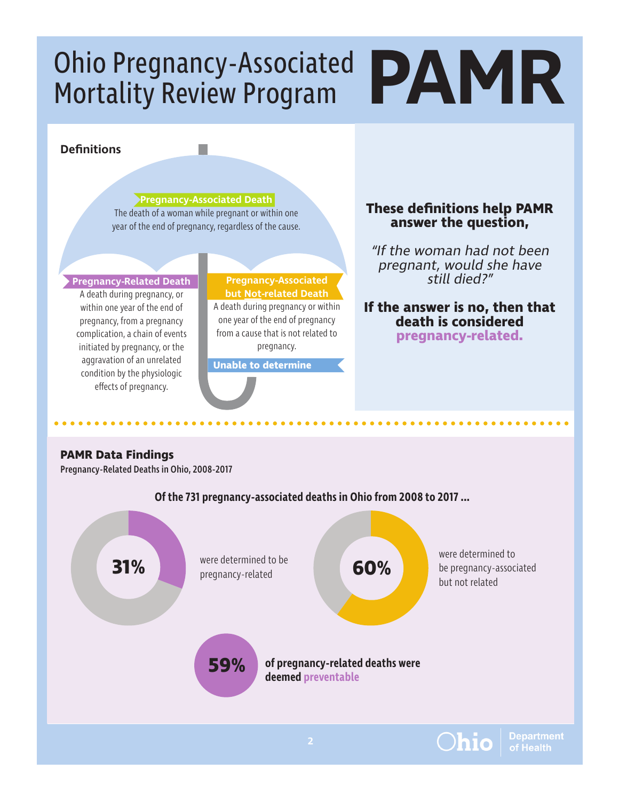## **Definitions**

**Pregnancy-Associated Death** The death of a woman while pregnant or within one year of the end of pregnancy, regardless of the cause.

p.

#### **Pregnancy-Related Death**

A death during pregnancy, or within one year of the end of pregnancy, from a pregnancy complication, a chain of events initiated by pregnancy, or the aggravation of an unrelated condition by the physiologic effects of pregnancy.

#### **Pregnancy-Associated but Not-related Death** A death during pregnancy or within one year of the end of pregnancy from a cause that is not related to pregnancy.

**Unable to determine**

### **These definitions help PAMR answer the question,**

"If the woman had not been pregnant, would she have still died?"

### **If the answer is no, then that death is considered pregnancy-related.**

### **PAMR Data Findings**

Pregnancy-Related Deaths in Ohio, 2008-2017

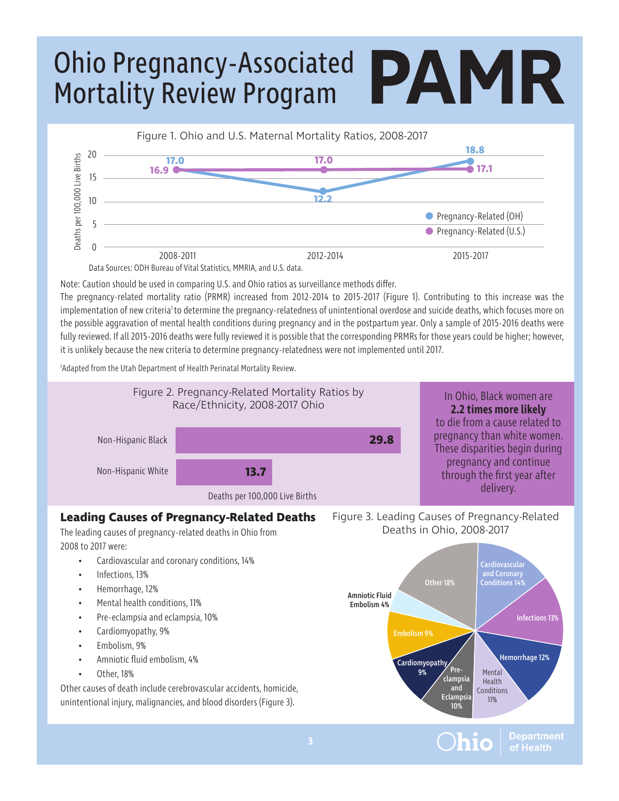

Note: Caution should be used in comparing U.S. and Ohio ratios as surveillance methods differ.

The pregnancy-related mortality ratio (PRMR) increased from 2012-2014 to 2015-2017 (Figure 1). Contributing to this increase was the implementation of new criteria<sup>1</sup> to determine the pregnancy-relatedness of unintentional overdose and suicide deaths, which focuses more on the possible aggravation of mental health conditions during pregnancy and in the postpartum year. Only a sample of 2015-2016 deaths were fully reviewed. If all 2015-2016 deaths were fully reviewed it is possible that the corresponding PRMRs for those years could be higher; however, it is unlikely because the new criteria to determine pregnancy-relatedness were not implemented until 2017.

1 Adapted from the Utah Department of Health Perinatal Mortality Review.



**Department** of Health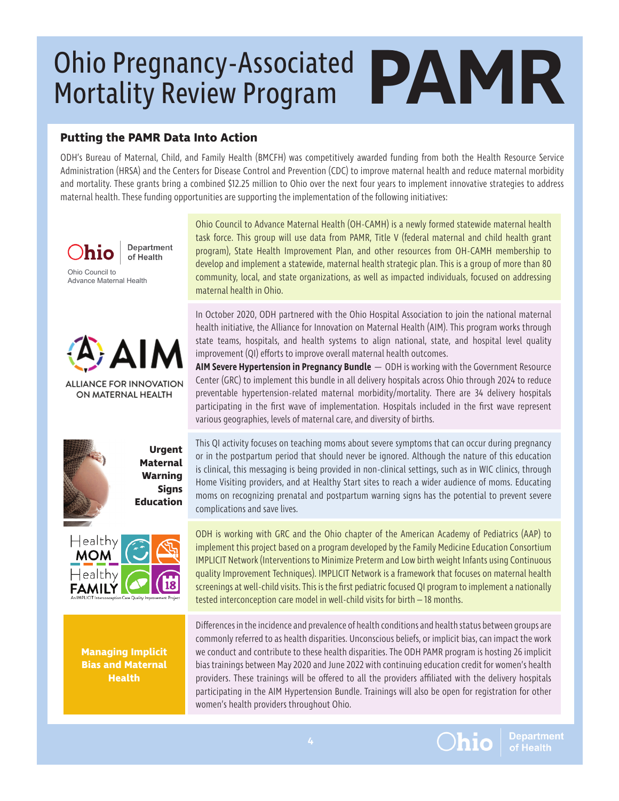## **Putting the PAMR Data Into Action**

ODH's Bureau of Maternal, Child, and Family Health (BMCFH) was competitively awarded funding from both the Health Resource Service Administration (HRSA) and the Centers for Disease Control and Prevention (CDC) to improve maternal health and reduce maternal morbidity and mortality. These grants bring a combined \$12.25 million to Ohio over the next four years to implement innovative strategies to address maternal health. These funding opportunities are supporting the implementation of the following initiatives:

**Department** nic of Health Ohio Council to Advance Maternal Health



**ALLIANCE FOR INNOVATION** ON MATERNAL HEALTH



 **Urgent Maternal Warning Signs Education**



**Managing Implicit Bias and Maternal Health**

Ohio Council to Advance Maternal Health (OH-CAMH) is a newly formed statewide maternal health task force. This group will use data from PAMR, Title V (federal maternal and child health grant program), State Health Improvement Plan, and other resources from OH-CAMH membership to develop and implement a statewide, maternal health strategic plan. This is a group of more than 80 community, local, and state organizations, as well as impacted individuals, focused on addressing maternal health in Ohio.

In October 2020, ODH partnered with the Ohio Hospital Association to join the national maternal health initiative, the Alliance for Innovation on Maternal Health (AIM). This program works through state teams, hospitals, and health systems to align national, state, and hospital level quality improvement (QI) efforts to improve overall maternal health outcomes.

**AIM Severe Hypertension in Pregnancy Bundle** — ODH is working with the Government Resource Center (GRC) to implement this bundle in all delivery hospitals across Ohio through 2024 to reduce preventable hypertension-related maternal morbidity/mortality. There are 34 delivery hospitals participating in the first wave of implementation. Hospitals included in the first wave represent various geographies, levels of maternal care, and diversity of births.

This QI activity focuses on teaching moms about severe symptoms that can occur during pregnancy or in the postpartum period that should never be ignored. Although the nature of this education is clinical, this messaging is being provided in non-clinical settings, such as in WIC clinics, through Home Visiting providers, and at Healthy Start sites to reach a wider audience of moms. Educating moms on recognizing prenatal and postpartum warning signs has the potential to prevent severe complications and save lives.

ODH is working with GRC and the Ohio chapter of the American Academy of Pediatrics (AAP) to implement this project based on a program developed by the Family Medicine Education Consortium IMPLICIT Network (Interventions to Minimize Preterm and Low birth weight Infants using Continuous quality Improvement Techniques). IMPLICIT Network is a framework that focuses on maternal health screenings at well-child visits. This is the first pediatric focused QI program to implement a nationally tested interconception care model in well-child visits for birth – 18 months.

Differences in the incidence and prevalence of health conditions and health status between groups are commonly referred to as health disparities. Unconscious beliefs, or implicit bias, can impact the work we conduct and contribute to these health disparities. The ODH PAMR program is hosting 26 implicit bias trainings between May 2020 and June 2022 with continuing education credit for women's health providers. These trainings will be offered to all the providers affiliated with the delivery hospitals participating in the AIM Hypertension Bundle. Trainings will also be open for registration for other women's health providers throughout Ohio.



**Department** of Health